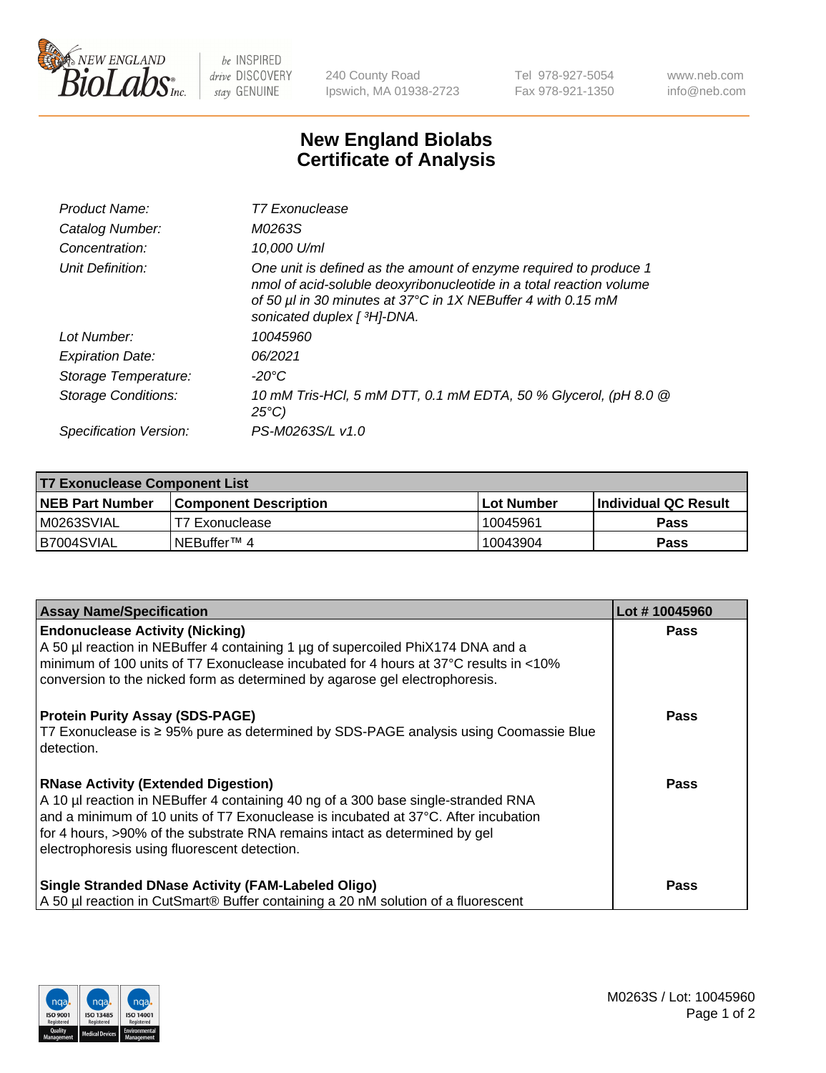

 $be$  INSPIRED drive DISCOVERY stay GENUINE

240 County Road Ipswich, MA 01938-2723 Tel 978-927-5054 Fax 978-921-1350 www.neb.com info@neb.com

## **New England Biolabs Certificate of Analysis**

| Product Name:              | <b>T7 Exonuclease</b>                                                                                                                                                                                                                   |
|----------------------------|-----------------------------------------------------------------------------------------------------------------------------------------------------------------------------------------------------------------------------------------|
| Catalog Number:            | M0263S                                                                                                                                                                                                                                  |
| Concentration:             | 10.000 U/ml                                                                                                                                                                                                                             |
| Unit Definition:           | One unit is defined as the amount of enzyme required to produce 1<br>nmol of acid-soluble deoxyribonucleotide in a total reaction volume<br>of 50 µl in 30 minutes at 37°C in 1X NEBuffer 4 with 0.15 mM<br>sonicated duplex [ 3H]-DNA. |
| Lot Number:                | 10045960                                                                                                                                                                                                                                |
| <b>Expiration Date:</b>    | 06/2021                                                                                                                                                                                                                                 |
| Storage Temperature:       | -20°C                                                                                                                                                                                                                                   |
| <b>Storage Conditions:</b> | 10 mM Tris-HCl, 5 mM DTT, 0.1 mM EDTA, 50 % Glycerol, (pH 8.0 @<br>$25^{\circ}$ C)                                                                                                                                                      |
| Specification Version:     | PS-M0263S/L v1.0                                                                                                                                                                                                                        |

| <b>T7 Exonuclease Component List</b> |                              |              |                             |  |
|--------------------------------------|------------------------------|--------------|-----------------------------|--|
| <b>NEB Part Number</b>               | <b>Component Description</b> | l Lot Number | <b>Individual QC Result</b> |  |
| M0263SVIAL                           | T7 Exonuclease               | 10045961     | <b>Pass</b>                 |  |
| B7004SVIAL                           | INEBuffer™ 4                 | 10043904     | Pass                        |  |

| <b>Assay Name/Specification</b>                                                                                                                                                                                                                                                                                                                     | Lot #10045960 |
|-----------------------------------------------------------------------------------------------------------------------------------------------------------------------------------------------------------------------------------------------------------------------------------------------------------------------------------------------------|---------------|
| <b>Endonuclease Activity (Nicking)</b><br>A 50 µl reaction in NEBuffer 4 containing 1 µg of supercoiled PhiX174 DNA and a<br>minimum of 100 units of T7 Exonuclease incubated for 4 hours at 37°C results in <10%<br>conversion to the nicked form as determined by agarose gel electrophoresis.                                                    | <b>Pass</b>   |
| <b>Protein Purity Assay (SDS-PAGE)</b><br>T7 Exonuclease is ≥ 95% pure as determined by SDS-PAGE analysis using Coomassie Blue<br>detection.                                                                                                                                                                                                        | <b>Pass</b>   |
| <b>RNase Activity (Extended Digestion)</b><br>A 10 µl reaction in NEBuffer 4 containing 40 ng of a 300 base single-stranded RNA<br>and a minimum of 10 units of T7 Exonuclease is incubated at 37°C. After incubation<br>for 4 hours, >90% of the substrate RNA remains intact as determined by gel<br>electrophoresis using fluorescent detection. | Pass          |
| <b>Single Stranded DNase Activity (FAM-Labeled Oligo)</b><br>A 50 µl reaction in CutSmart® Buffer containing a 20 nM solution of a fluorescent                                                                                                                                                                                                      | <b>Pass</b>   |